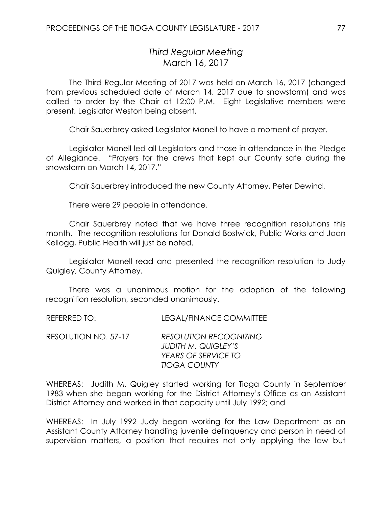# *Third Regular Meeting* March 16, 2017

The Third Regular Meeting of 2017 was held on March 16, 2017 (changed from previous scheduled date of March 14, 2017 due to snowstorm) and was called to order by the Chair at 12:00 P.M. Eight Legislative members were present, Legislator Weston being absent.

Chair Sauerbrey asked Legislator Monell to have a moment of prayer.

Legislator Monell led all Legislators and those in attendance in the Pledge of Allegiance. "Prayers for the crews that kept our County safe during the snowstorm on March 14, 2017."

Chair Sauerbrey introduced the new County Attorney, Peter Dewind.

There were 29 people in attendance.

Chair Sauerbrey noted that we have three recognition resolutions this month. The recognition resolutions for Donald Bostwick, Public Works and Joan Kellogg, Public Health will just be noted.

Legislator Monell read and presented the recognition resolution to Judy Quigley, County Attorney.

There was a unanimous motion for the adoption of the following recognition resolution, seconded unanimously.

REFERRED TO: LEGAL/FINANCE COMMITTEE

RESOLUTION NO. 57-17 *RESOLUTION RECOGNIZING JUDITH M. QUIGLEY'S YEARS OF SERVICE TO TIOGA COUNTY*

WHEREAS: Judith M. Quigley started working for Tioga County in September 1983 when she began working for the District Attorney's Office as an Assistant District Attorney and worked in that capacity until July 1992; and

WHEREAS: In July 1992 Judy began working for the Law Department as an Assistant County Attorney handling juvenile delinquency and person in need of supervision matters, a position that requires not only applying the law but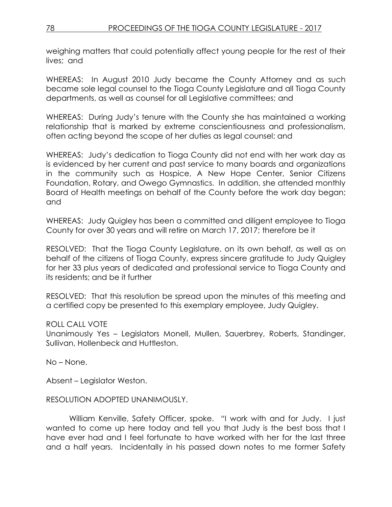weighing matters that could potentially affect young people for the rest of their lives; and

WHEREAS: In August 2010 Judy became the County Attorney and as such became sole legal counsel to the Tioga County Legislature and all Tioga County departments, as well as counsel for all Legislative committees; and

WHEREAS: During Judy's tenure with the County she has maintained a working relationship that is marked by extreme conscientiousness and professionalism, often acting beyond the scope of her duties as legal counsel; and

WHEREAS: Judy's dedication to Tioga County did not end with her work day as is evidenced by her current and past service to many boards and organizations in the community such as Hospice, A New Hope Center, Senior Citizens Foundation, Rotary, and Owego Gymnastics. In addition, she attended monthly Board of Health meetings on behalf of the County before the work day began; and

WHEREAS: Judy Quigley has been a committed and diligent employee to Tioga County for over 30 years and will retire on March 17, 2017; therefore be it

RESOLVED: That the Tioga County Legislature, on its own behalf, as well as on behalf of the citizens of Tioga County, express sincere gratitude to Judy Quigley for her 33 plus years of dedicated and professional service to Tioga County and its residents; and be it further

RESOLVED: That this resolution be spread upon the minutes of this meeting and a certified copy be presented to this exemplary employee, Judy Quigley.

# ROLL CALL VOTE

Unanimously Yes – Legislators Monell, Mullen, Sauerbrey, Roberts, Standinger, Sullivan, Hollenbeck and Huttleston.

No – None.

Absent – Legislator Weston.

# RESOLUTION ADOPTED UNANIMOUSLY.

William Kenville, Safety Officer, spoke. "I work with and for Judy. I just wanted to come up here today and tell you that Judy is the best boss that I have ever had and I feel fortunate to have worked with her for the last three and a half years. Incidentally in his passed down notes to me former Safety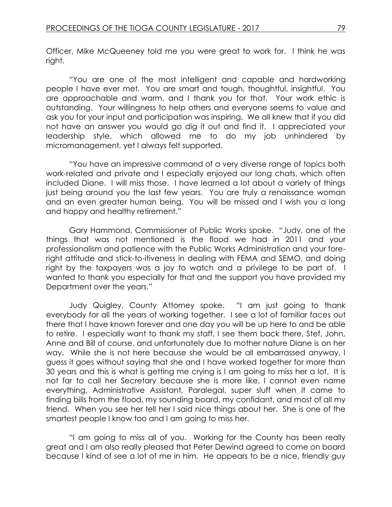Officer, Mike McQueeney told me you were great to work for. I think he was right.

"You are one of the most intelligent and capable and hardworking people I have ever met. You are smart and tough, thoughtful, insightful. You are approachable and warm, and I thank you for that. Your work ethic is outstanding. Your willingness to help others and everyone seems to value and ask you for your input and participation was inspiring. We all knew that if you did not have an answer you would go dig it out and find it. I appreciated your leadership style, which allowed me to do my job unhindered by micromanagement, yet I always felt supported.

"You have an impressive command of a very diverse range of topics both work-related and private and I especially enjoyed our long chats, which often included Diane. I will miss those. I have learned a lot about a variety of things just being around you the last few years. You are truly a renaissance woman and an even greater human being. You will be missed and I wish you a long and happy and healthy retirement."

Gary Hammond, Commissioner of Public Works spoke. "Judy, one of the things that was not mentioned is the flood we had in 2011 and your professionalism and patience with the Public Works Administration and your foreright attitude and stick-to-itiveness in dealing with FEMA and SEMO, and doing right by the taxpayers was a joy to watch and a privilege to be part of. I wanted to thank you especially for that and the support you have provided my Department over the years."

Judy Quigley, County Attorney spoke. "I am just going to thank everybody for all the years of working together. I see a lot of familiar faces out there that I have known forever and one day you will be up here to and be able to retire. I especially want to thank my staff, I see them back there, Stef, John, Anne and Bill of course, and unfortunately due to mother nature Diane is on her way. While she is not here because she would be all embarrassed anyway, I guess it goes without saying that she and I have worked together for more than 30 years and this is what is getting me crying is I am going to miss her a lot. It is not far to call her Secretary because she is more like, I cannot even name everything, Administrative Assistant, Paralegal, super sluff when it came to finding bills from the flood, my sounding board, my confidant, and most of all my friend. When you see her tell her I said nice things about her. She is one of the smartest people I know too and I am going to miss her.

"I am going to miss all of you. Working for the County has been really great and I am also really pleased that Peter Dewind agreed to come on board because I kind of see a lot of me in him. He appears to be a nice, friendly guy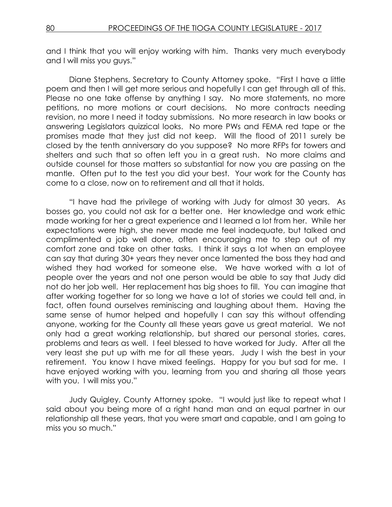and I think that you will enjoy working with him. Thanks very much everybody and I will miss you guys."

Diane Stephens, Secretary to County Attorney spoke. "First I have a little poem and then I will get more serious and hopefully I can get through all of this. Please no one take offense by anything I say. No more statements, no more petitions, no more motions or court decisions. No more contracts needing revision, no more I need it today submissions. No more research in law books or answering Legislators quizzical looks. No more PWs and FEMA red tape or the promises made that they just did not keep. Will the flood of 2011 surely be closed by the tenth anniversary do you suppose? No more RFPs for towers and shelters and such that so often left you in a great rush. No more claims and outside counsel for those matters so substantial for now you are passing on the mantle. Often put to the test you did your best. Your work for the County has come to a close, now on to retirement and all that it holds.

"I have had the privilege of working with Judy for almost 30 years. As bosses go, you could not ask for a better one. Her knowledge and work ethic made working for her a great experience and I learned a lot from her. While her expectations were high, she never made me feel inadequate, but talked and complimented a job well done, often encouraging me to step out of my comfort zone and take on other tasks. I think it says a lot when an employee can say that during 30+ years they never once lamented the boss they had and wished they had worked for someone else. We have worked with a lot of people over the years and not one person would be able to say that Judy did not do her job well. Her replacement has big shoes to fill. You can imagine that after working together for so long we have a lot of stories we could tell and, in fact, often found ourselves reminiscing and laughing about them. Having the same sense of humor helped and hopefully I can say this without offending anyone, working for the County all these years gave us great material. We not only had a great working relationship, but shared our personal stories, cares, problems and tears as well. I feel blessed to have worked for Judy. After all the very least she put up with me for all these years. Judy I wish the best in your retirement. You know I have mixed feelings. Happy for you but sad for me. I have enjoyed working with you, learning from you and sharing all those years with you. I will miss you."

Judy Quigley, County Attorney spoke. "I would just like to repeat what I said about you being more of a right hand man and an equal partner in our relationship all these years, that you were smart and capable, and I am going to miss you so much."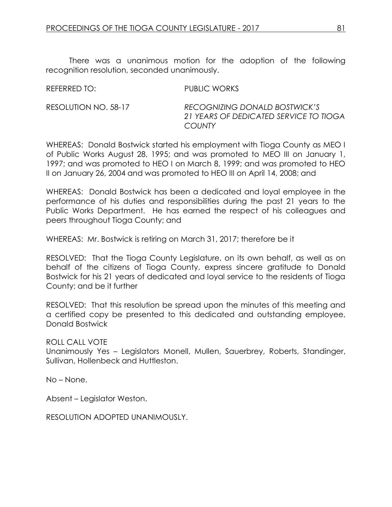There was a unanimous motion for the adoption of the following recognition resolution, seconded unanimously.

| REFERRED TO: I       | PUBLIC WORKS                                                                             |
|----------------------|------------------------------------------------------------------------------------------|
| RESOLUTION NO. 58-17 | RECOGNIZING DONALD BOSTWICK'S<br>21 YEARS OF DEDICATED SERVICE TO TIOGA<br><b>COUNTY</b> |

WHEREAS: Donald Bostwick started his employment with Tioga County as MEO I of Public Works August 28, 1995; and was promoted to MEO III on January 1, 1997; and was promoted to HEO I on March 8, 1999; and was promoted to HEO II on January 26, 2004 and was promoted to HEO III on April 14, 2008; and

WHEREAS: Donald Bostwick has been a dedicated and loyal employee in the performance of his duties and responsibilities during the past 21 years to the Public Works Department. He has earned the respect of his colleagues and peers throughout Tioga County; and

WHEREAS: Mr. Bostwick is retiring on March 31, 2017; therefore be it

RESOLVED: That the Tioga County Legislature, on its own behalf, as well as on behalf of the citizens of Tioga County, express sincere gratitude to Donald Bostwick for his 21 years of dedicated and loyal service to the residents of Tioga County; and be it further

RESOLVED: That this resolution be spread upon the minutes of this meeting and a certified copy be presented to this dedicated and outstanding employee, Donald Bostwick

# ROLL CALL VOTE

Unanimously Yes – Legislators Monell, Mullen, Sauerbrey, Roberts, Standinger, Sullivan, Hollenbeck and Huttleston.

No – None.

Absent – Legislator Weston.

RESOLUTION ADOPTED UNANIMOUSLY.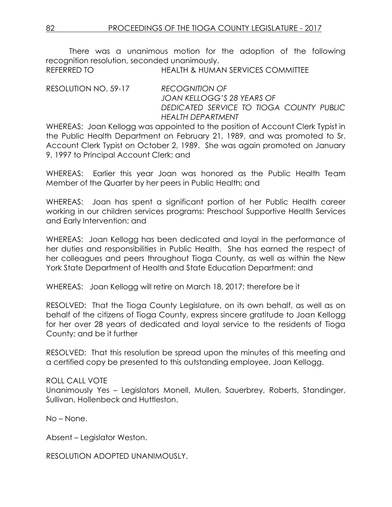There was a unanimous motion for the adoption of the following recognition resolution, seconded unanimously. REFERRED TO HEALTH & HUMAN SERVICES COMMITTEE

RESOLUTION NO. 59-17 *RECOGNITION OF* 

*JOAN KELLOGG'S 28 YEARS OF DEDICATED SERVICE TO TIOGA COUNTY PUBLIC HEALTH DEPARTMENT*

WHEREAS: Joan Kellogg was appointed to the position of Account Clerk Typist in the Public Health Department on February 21, 1989, and was promoted to Sr. Account Clerk Typist on October 2, 1989. She was again promoted on January 9, 1997 to Principal Account Clerk; and

WHEREAS: Earlier this year Joan was honored as the Public Health Team Member of the Quarter by her peers in Public Health; and

WHEREAS: Joan has spent a significant portion of her Public Health career working in our children services programs: Preschool Supportive Health Services and Early Intervention; and

WHEREAS: Joan Kellogg has been dedicated and loyal in the performance of her duties and responsibilities in Public Health. She has earned the respect of her colleagues and peers throughout Tioga County, as well as within the New York State Department of Health and State Education Department; and

WHEREAS: Joan Kellogg will retire on March 18, 2017; therefore be it

RESOLVED: That the Tioga County Legislature, on its own behalf, as well as on behalf of the citizens of Tioga County, express sincere gratitude to Joan Kellogg for her over 28 years of dedicated and loyal service to the residents of Tioga County; and be it further

RESOLVED: That this resolution be spread upon the minutes of this meeting and a certified copy be presented to this outstanding employee, Joan Kellogg.

# ROLL CALL VOTE

Unanimously Yes – Legislators Monell, Mullen, Sauerbrey, Roberts, Standinger, Sullivan, Hollenbeck and Huttleston.

No – None.

Absent – Legislator Weston.

RESOLUTION ADOPTED UNANIMOUSLY.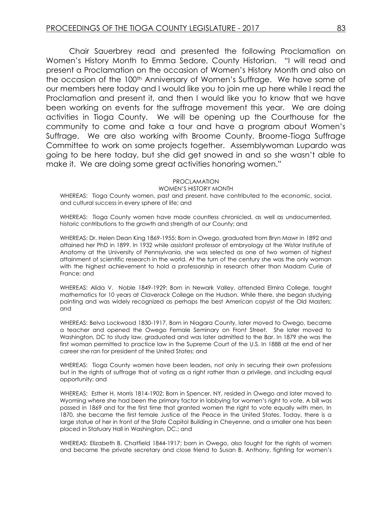Chair Sauerbrey read and presented the following Proclamation on Women's History Month to Emma Sedore, County Historian. "I will read and present a Proclamation on the occasion of Women's History Month and also on the occasion of the 100<sup>th</sup> Anniversary of Women's Suffrage. We have some of our members here today and I would like you to join me up here while I read the Proclamation and present it, and then I would like you to know that we have been working on events for the suffrage movement this year. We are doing activities in Tioga County. We will be opening up the Courthouse for the community to come and take a tour and have a program about Women's Suffrage. We are also working with Broome County, Broome-Tioga Suffrage Committee to work on some projects together. Assemblywoman Lupardo was going to be here today, but she did get snowed in and so she wasn't able to make it. We are doing some great activities honoring women."

#### PROCLAMATION

#### WOMEN'S HISTORY MONTH

WHEREAS: Tioga County women, past and present, have contributed to the economic, social, and cultural success in every sphere of life; and

WHEREAS: Tioga County women have made countless chronicled, as well as undocumented, historic contributions to the growth and strength of our County; and

WHEREAS: Dr. Helen Dean King 1869-1955; Born in Owego, graduated from Bryn Mawr in 1892 and attained her PhD in 1899. In 1932 while assistant professor of embryology at the Wistar Institute of Anatomy at the University of Pennsylvania, she was selected as one of two women of highest attainment of scientific research in the world. At the turn of the century she was the only woman with the highest achievement to hold a professorship in research other than Madam Curie of France; and

WHEREAS: Alida V. Noble 1849-1929; Born in Newark Valley, attended Elmira College, taught mathematics for 10 years at Claverack College on the Hudson. While there, she began studying painting and was widely recognized as perhaps the best American copyist of the Old Masters; and

WHEREAS: Belva Lockwood 1830-1917, Born in Niagara County, later moved to Owego, became a teacher and opened the Owego Female Seminary on Front Street. She later moved to Washington, DC to study law, graduated and was later admitted to the Bar. In 1879 she was the first woman permitted to practice law in the Supreme Court of the U.S. In 1888 at the end of her career she ran for president of the United States; and

WHEREAS: Tioga County women have been leaders, not only in securing their own professions but in the rights of suffrage that of voting as a right rather than a privilege, and including equal opportunity; and

WHEREAS: Esther H. Morris 1814-1902; Born in Spencer, NY, resided in Owego and later moved to Wyoming where she had been the primary factor in lobbying for women's right to vote. A bill was passed in 1869 and for the first time that granted women the right to vote equally with men. In 1870, she became the first female Justice of the Peace in the United States. Today, there is a large statue of her in front of the State Capitol Building in Cheyenne, and a smaller one has been placed in Statuary Hall in Washington, DC.; and

WHEREAS: Elizabeth B. Chatfield 1844-1917; born in Owego, also fought for the rights of women and became the private secretary and close friend to Susan B. Anthony, fighting for women's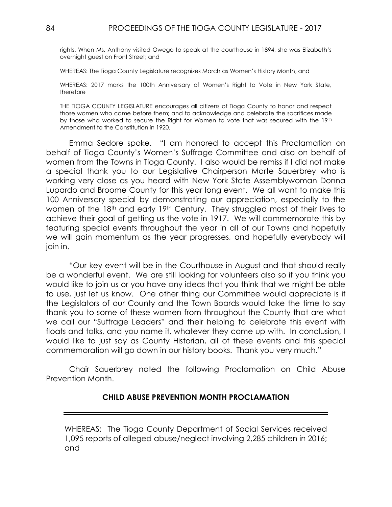rights. When Ms. Anthony visited Owego to speak at the courthouse in 1894, she was Elizabeth's overnight guest on Front Street; and

WHEREAS: The Tioga County Legislature recognizes March as Women's History Month, and

WHEREAS: 2017 marks the 100th Anniversary of Women's Right to Vote in New York State, therefore

THE TIOGA COUNTY LEGISLATURE encourages all citizens of Tioga County to honor and respect those women who came before them; and to acknowledge and celebrate the sacrifices made by those who worked to secure the Right for Women to vote that was secured with the 19th Amendment to the Constitution in 1920.

Emma Sedore spoke. "I am honored to accept this Proclamation on behalf of Tioga County's Women's Suffrage Committee and also on behalf of women from the Towns in Tioga County. I also would be remiss if I did not make a special thank you to our Legislative Chairperson Marte Sauerbrey who is working very close as you heard with New York State Assemblywoman Donna Lupardo and Broome County for this year long event. We all want to make this 100 Anniversary special by demonstrating our appreciation, especially to the women of the 18<sup>th</sup> and early 19<sup>th</sup> Century. They struggled most of their lives to achieve their goal of getting us the vote in 1917. We will commemorate this by featuring special events throughout the year in all of our Towns and hopefully we will gain momentum as the year progresses, and hopefully everybody will join in.

"Our key event will be in the Courthouse in August and that should really be a wonderful event. We are still looking for volunteers also so if you think you would like to join us or you have any ideas that you think that we might be able to use, just let us know. One other thing our Committee would appreciate is if the Legislators of our County and the Town Boards would take the time to say thank you to some of these women from throughout the County that are what we call our "Suffrage Leaders" and their helping to celebrate this event with floats and talks, and you name it, whatever they come up with. In conclusion, I would like to just say as County Historian, all of these events and this special commemoration will go down in our history books. Thank you very much."

Chair Sauerbrey noted the following Proclamation on Child Abuse Prevention Month.

#### **CHILD ABUSE PREVENTION MONTH PROCLAMATION**

WHEREAS: The Tioga County Department of Social Services received 1,095 reports of alleged abuse/neglect involving 2,285 children in 2016; and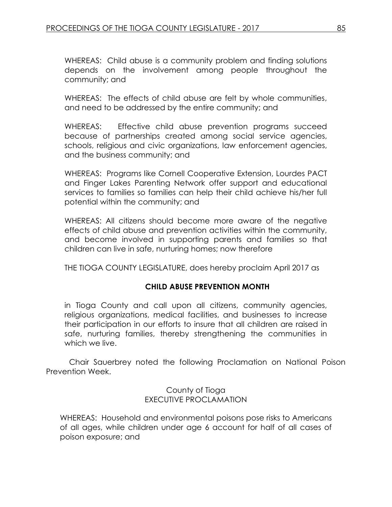WHEREAS: Child abuse is a community problem and finding solutions depends on the involvement among people throughout the community; and

WHEREAS: The effects of child abuse are felt by whole communities, and need to be addressed by the entire community; and

WHEREAS: Effective child abuse prevention programs succeed because of partnerships created among social service agencies, schools, religious and civic organizations, law enforcement agencies, and the business community; and

WHEREAS: Programs like Cornell Cooperative Extension, Lourdes PACT and Finger Lakes Parenting Network offer support and educational services to families so families can help their child achieve his/her full potential within the community; and

WHEREAS: All citizens should become more aware of the negative effects of child abuse and prevention activities within the community, and become involved in supporting parents and families so that children can live in safe, nurturing homes; now therefore

THE TIOGA COUNTY LEGISLATURE, does hereby proclaim April 2017 as

# **CHILD ABUSE PREVENTION MONTH**

in Tioga County and call upon all citizens, community agencies, religious organizations, medical facilities, and businesses to increase their participation in our efforts to insure that all children are raised in safe, nurturing families, thereby strengthening the communities in which we live.

Chair Sauerbrey noted the following Proclamation on National Poison Prevention Week.

> County of Tioga EXECUTIVE PROCLAMATION

WHEREAS: Household and environmental poisons pose risks to Americans of all ages, while children under age 6 account for half of all cases of poison exposure; and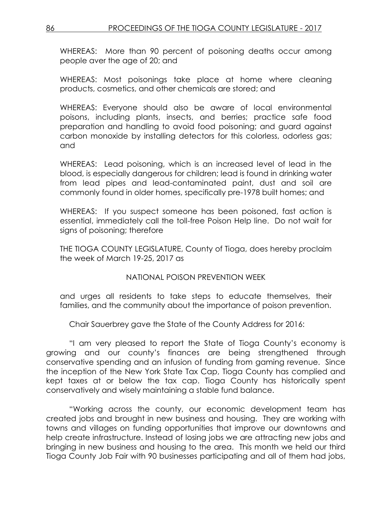WHEREAS: More than 90 percent of poisoning deaths occur among people aver the age of 20; and

WHEREAS: Most poisonings take place at home where cleaning products, cosmetics, and other chemicals are stored; and

WHEREAS: Everyone should also be aware of local environmental poisons, including plants, insects, and berries; practice safe food preparation and handling to avoid food poisoning; and guard against carbon monoxide by installing detectors for this colorless, odorless gas; and

WHEREAS: Lead poisoning, which is an increased level of lead in the blood, is especially dangerous for children; lead is found in drinking water from lead pipes and lead-contaminated paint, dust and soil are commonly found in older homes, specifically pre-1978 built homes; and

WHEREAS: If you suspect someone has been poisoned, fast action is essential, immediately call the toll-free Poison Help line. Do not wait for signs of poisoning; therefore

THE TIOGA COUNTY LEGISLATURE, County of Tioga, does hereby proclaim the week of March 19-25, 2017 as

# NATIONAL POISON PREVENTION WEEK

and urges all residents to take steps to educate themselves, their families, and the community about the importance of poison prevention.

Chair Sauerbrey gave the State of the County Address for 2016:

"I am very pleased to report the State of Tioga County's economy is growing and our county's finances are being strengthened through conservative spending and an infusion of funding from gaming revenue. Since the inception of the New York State Tax Cap, Tioga County has complied and kept taxes at or below the tax cap. Tioga County has historically spent conservatively and wisely maintaining a stable fund balance.

"Working across the county, our economic development team has created jobs and brought in new business and housing. They are working with towns and villages on funding opportunities that improve our downtowns and help create infrastructure. Instead of losing jobs we are attracting new jobs and bringing in new business and housing to the area. This month we held our third Tioga County Job Fair with 90 businesses participating and all of them had jobs,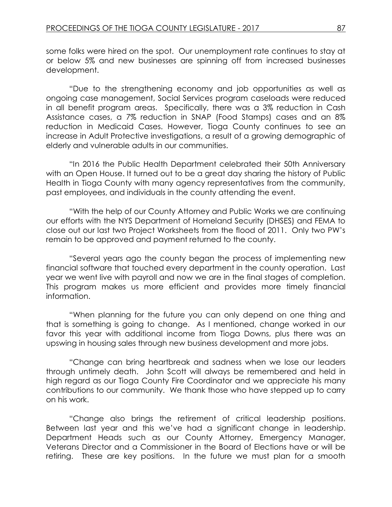some folks were hired on the spot. Our unemployment rate continues to stay at or below 5% and new businesses are spinning off from increased businesses development.

"Due to the strengthening economy and job opportunities as well as ongoing case management, Social Services program caseloads were reduced in all benefit program areas. Specifically, there was a 3% reduction in Cash Assistance cases, a 7% reduction in SNAP (Food Stamps) cases and an 8% reduction in Medicaid Cases. However, Tioga County continues to see an increase in Adult Protective investigations, a result of a growing demographic of elderly and vulnerable adults in our communities.

"In 2016 the Public Health Department celebrated their 50th Anniversary with an Open House. It turned out to be a great day sharing the history of Public Health in Tioga County with many agency representatives from the community, past employees, and individuals in the county attending the event.

"With the help of our County Attorney and Public Works we are continuing our efforts with the NYS Department of Homeland Security (DHSES) and FEMA to close out our last two Project Worksheets from the flood of 2011. Only two PW's remain to be approved and payment returned to the county.

"Several years ago the county began the process of implementing new financial software that touched every department in the county operation. Last year we went live with payroll and now we are in the final stages of completion. This program makes us more efficient and provides more timely financial information.

"When planning for the future you can only depend on one thing and that is something is going to change. As I mentioned, change worked in our favor this year with additional income from Tioga Downs, plus there was an upswing in housing sales through new business development and more jobs.

"Change can bring heartbreak and sadness when we lose our leaders through untimely death. John Scott will always be remembered and held in high regard as our Tioga County Fire Coordinator and we appreciate his many contributions to our community. We thank those who have stepped up to carry on his work.

"Change also brings the retirement of critical leadership positions. Between last year and this we've had a significant change in leadership. Department Heads such as our County Attorney, Emergency Manager, Veterans Director and a Commissioner in the Board of Elections have or will be retiring. These are key positions. In the future we must plan for a smooth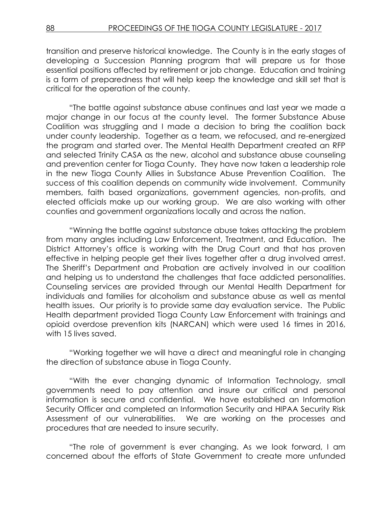transition and preserve historical knowledge. The County is in the early stages of developing a Succession Planning program that will prepare us for those essential positions affected by retirement or job change. Education and training is a form of preparedness that will help keep the knowledge and skill set that is critical for the operation of the county.

"The battle against substance abuse continues and last year we made a major change in our focus at the county level. The former Substance Abuse Coalition was struggling and I made a decision to bring the coalition back under county leadership. Together as a team, we refocused, and re-energized the program and started over. The Mental Health Department created an RFP and selected Trinity CASA as the new, alcohol and substance abuse counseling and prevention center for Tioga County. They have now taken a leadership role in the new Tioga County Allies in Substance Abuse Prevention Coalition. The success of this coalition depends on community wide involvement. Community members, faith based organizations, government agencies, non-profits, and elected officials make up our working group. We are also working with other counties and government organizations locally and across the nation.

"Winning the battle against substance abuse takes attacking the problem from many angles including Law Enforcement, Treatment, and Education. The District Attorney's office is working with the Drug Court and that has proven effective in helping people get their lives together after a drug involved arrest. The Sheriff's Department and Probation are actively involved in our coalition and helping us to understand the challenges that face addicted personalities. Counseling services are provided through our Mental Health Department for individuals and families for alcoholism and substance abuse as well as mental health issues. Our priority is to provide same day evaluation service. The Public Health department provided Tioga County Law Enforcement with trainings and opioid overdose prevention kits (NARCAN) which were used 16 times in 2016, with 15 lives saved.

"Working together we will have a direct and meaningful role in changing the direction of substance abuse in Tioga County.

"With the ever changing dynamic of Information Technology, small governments need to pay attention and insure our critical and personal information is secure and confidential. We have established an Information Security Officer and completed an Information Security and HIPAA Security Risk Assessment of our vulnerabilities. We are working on the processes and procedures that are needed to insure security.

"The role of government is ever changing. As we look forward, I am concerned about the efforts of State Government to create more unfunded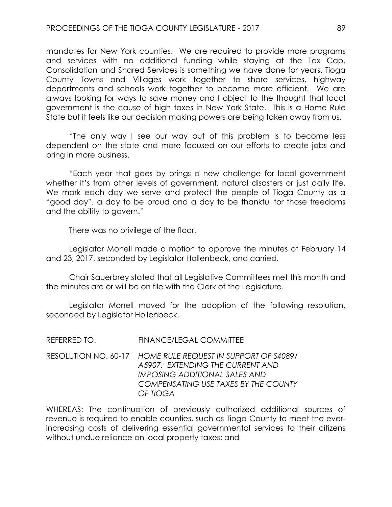mandates for New York counties. We are required to provide more programs and services with no additional funding while staying at the Tax Cap. Consolidation and Shared Services is something we have done for years. Tioga County Towns and Villages work together to share services, highway departments and schools work together to become more efficient. We are always looking for ways to save money and I object to the thought that local government is the cause of high taxes in New York State. This is a Home Rule State but it feels like our decision making powers are being taken away from us.

"The only way I see our way out of this problem is to become less dependent on the state and more focused on our efforts to create jobs and bring in more business.

"Each year that goes by brings a new challenge for local government whether it's from other levels of government, natural disasters or just daily life. We mark each day we serve and protect the people of Tioga County as a "good day", a day to be proud and a day to be thankful for those freedoms and the ability to govern."

There was no privilege of the floor.

Legislator Monell made a motion to approve the minutes of February 14 and 23, 2017, seconded by Legislator Hollenbeck, and carried.

Chair Sauerbrey stated that all Legislative Committees met this month and the minutes are or will be on file with the Clerk of the Legislature.

Legislator Monell moved for the adoption of the following resolution, seconded by Legislator Hollenbeck.

REFERRED TO: FINANCE/LEGAL COMMITTEE

RESOLUTION NO. 60-17 *HOME RULE REQUEST IN SUPPORT OF S4089/ A5907: EXTENDING THE CURRENT AND IMPOSING ADDITIONAL SALES AND COMPENSATING USE TAXES BY THE COUNTY OF TIOGA*

WHEREAS: The continuation of previously authorized additional sources of revenue is required to enable counties, such as Tioga County to meet the everincreasing costs of delivering essential governmental services to their citizens without undue reliance on local property taxes; and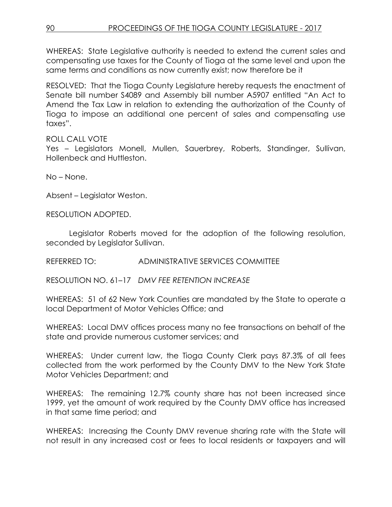WHEREAS: State Legislative authority is needed to extend the current sales and compensating use taxes for the County of Tioga at the same level and upon the same terms and conditions as now currently exist; now therefore be it

RESOLVED: That the Tioga County Legislature hereby requests the enactment of Senate bill number S4089 and Assembly bill number A5907 entitled "An Act to Amend the Tax Law in relation to extending the authorization of the County of Tioga to impose an additional one percent of sales and compensating use taxes".

ROLL CALL VOTE

Yes – Legislators Monell, Mullen, Sauerbrey, Roberts, Standinger, Sullivan, Hollenbeck and Huttleston.

No – None.

Absent – Legislator Weston.

RESOLUTION ADOPTED.

Legislator Roberts moved for the adoption of the following resolution, seconded by Legislator Sullivan.

REFERRED TO: ADMINISTRATIVE SERVICES COMMITTEE

RESOLUTION NO. 61–17 *DMV FEE RETENTION INCREASE*

WHEREAS: 51 of 62 New York Counties are mandated by the State to operate a local Department of Motor Vehicles Office; and

WHEREAS: Local DMV offices process many no fee transactions on behalf of the state and provide numerous customer services; and

WHEREAS: Under current law, the Tioga County Clerk pays 87.3% of all fees collected from the work performed by the County DMV to the New York State Motor Vehicles Department; and

WHEREAS: The remaining 12.7% county share has not been increased since 1999, yet the amount of work required by the County DMV office has increased in that same time period; and

WHEREAS: Increasing the County DMV revenue sharing rate with the State will not result in any increased cost or fees to local residents or taxpayers and will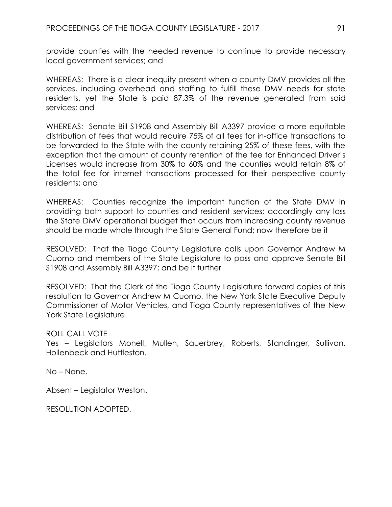provide counties with the needed revenue to continue to provide necessary local government services; and

WHEREAS: There is a clear inequity present when a county DMV provides all the services, including overhead and staffing to fulfill these DMV needs for state residents, yet the State is paid 87.3% of the revenue generated from said services; and

WHEREAS: Senate Bill S1908 and Assembly Bill A3397 provide a more equitable distribution of fees that would require 75% of all fees for in-office transactions to be forwarded to the State with the county retaining 25% of these fees, with the exception that the amount of county retention of the fee for Enhanced Driver's Licenses would increase from 30% to 60% and the counties would retain 8% of the total fee for internet transactions processed for their perspective county residents; and

WHEREAS: Counties recognize the important function of the State DMV in providing both support to counties and resident services; accordingly any loss the State DMV operational budget that occurs from increasing county revenue should be made whole through the State General Fund; now therefore be it

RESOLVED: That the Tioga County Legislature calls upon Governor Andrew M Cuomo and members of the State Legislature to pass and approve Senate Bill S1908 and Assembly Bill A3397; and be it further

RESOLVED: That the Clerk of the Tioga County Legislature forward copies of this resolution to Governor Andrew M Cuomo, the New York State Executive Deputy Commissioner of Motor Vehicles, and Tioga County representatives of the New York State Legislature.

# ROLL CALL VOTE

Yes – Legislators Monell, Mullen, Sauerbrey, Roberts, Standinger, Sullivan, Hollenbeck and Huttleston.

No – None.

Absent – Legislator Weston.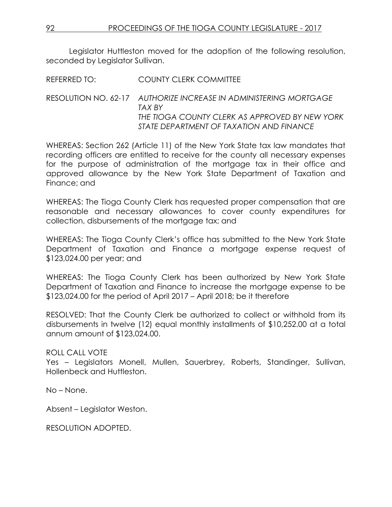Legislator Huttleston moved for the adoption of the following resolution, seconded by Legislator Sullivan.

REFERRED TO: COUNTY CLERK COMMITTEE

# RESOLUTION NO. 62-17 *AUTHORIZE INCREASE IN ADMINISTERING MORTGAGE TAX BY THE TIOGA COUNTY CLERK AS APPROVED BY NEW YORK STATE DEPARTMENT OF TAXATION AND FINANCE*

WHEREAS: Section 262 (Article 11) of the New York State tax law mandates that recording officers are entitled to receive for the county all necessary expenses for the purpose of administration of the mortgage tax in their office and approved allowance by the New York State Department of Taxation and Finance; and

WHEREAS: The Tioga County Clerk has requested proper compensation that are reasonable and necessary allowances to cover county expenditures for collection, disbursements of the mortgage tax; and

WHEREAS: The Tioga County Clerk's office has submitted to the New York State Department of Taxation and Finance a mortgage expense request of \$123,024.00 per year; and

WHEREAS: The Tioga County Clerk has been authorized by New York State Department of Taxation and Finance to increase the mortgage expense to be \$123,024.00 for the period of April 2017 – April 2018; be it therefore

RESOLVED: That the County Clerk be authorized to collect or withhold from its disbursements in twelve (12) equal monthly installments of \$10,252.00 at a total annum amount of \$123,024.00.

# ROLL CALL VOTE

Yes – Legislators Monell, Mullen, Sauerbrey, Roberts, Standinger, Sullivan, Hollenbeck and Huttleston.

No – None.

Absent – Legislator Weston.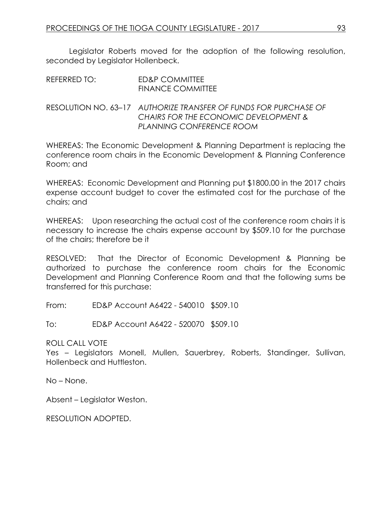Legislator Roberts moved for the adoption of the following resolution, seconded by Legislator Hollenbeck.

| REFERRED TO: | ED&P COMMITTEE           |
|--------------|--------------------------|
|              | <b>FINANCE COMMITTEE</b> |

RESOLUTION NO. 63–17 *AUTHORIZE TRANSFER OF FUNDS FOR PURCHASE OF CHAIRS FOR THE ECONOMIC DEVELOPMENT & PLANNING CONFERENCE ROOM*

WHEREAS: The Economic Development & Planning Department is replacing the conference room chairs in the Economic Development & Planning Conference Room; and

WHEREAS: Economic Development and Planning put \$1800.00 in the 2017 chairs expense account budget to cover the estimated cost for the purchase of the chairs; and

WHEREAS: Upon researching the actual cost of the conference room chairs it is necessary to increase the chairs expense account by \$509.10 for the purchase of the chairs; therefore be it

RESOLVED: That the Director of Economic Development & Planning be authorized to purchase the conference room chairs for the Economic Development and Planning Conference Room and that the following sums be transferred for this purchase:

From: ED&P Account A6422 - 540010 \$509.10

To: ED&P Account A6422 - 520070 \$509.10

ROLL CALL VOTE

Yes – Legislators Monell, Mullen, Sauerbrey, Roberts, Standinger, Sullivan, Hollenbeck and Huttleston.

No – None.

Absent – Legislator Weston.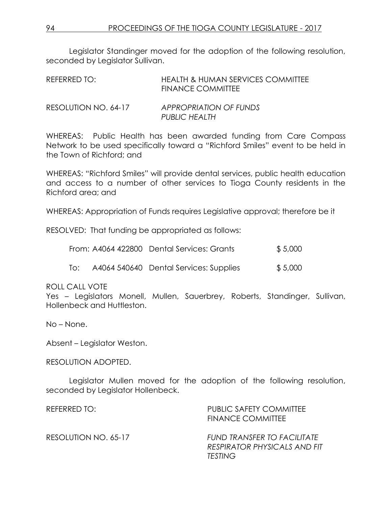Legislator Standinger moved for the adoption of the following resolution, seconded by Legislator Sullivan.

| REFERRED TO:         | <b>HEALTH &amp; HUMAN SERVICES COMMITTEE</b><br>FINANCE COMMITTEE |
|----------------------|-------------------------------------------------------------------|
| RESOLUTION NO. 64-17 | APPROPRIATION OF FUNDS                                            |

WHEREAS: Public Health has been awarded funding from Care Compass Network to be used specifically toward a "Richford Smiles" event to be held in the Town of Richford; and

*PUBLIC HEALTH*

WHEREAS: "Richford Smiles" will provide dental services, public health education and access to a number of other services to Tioga County residents in the Richford area; and

WHEREAS: Appropriation of Funds requires Legislative approval; therefore be it

RESOLVED: That funding be appropriated as follows:

|     | From: A4064 422800 Dental Services: Grants | \$5,000 |
|-----|--------------------------------------------|---------|
| To: | A4064 540640 Dental Services: Supplies     | \$5,000 |

# ROLL CALL VOTE

Yes – Legislators Monell, Mullen, Sauerbrey, Roberts, Standinger, Sullivan, Hollenbeck and Huttleston.

No – None.

Absent – Legislator Weston.

#### RESOLUTION ADOPTED.

Legislator Mullen moved for the adoption of the following resolution, seconded by Legislator Hollenbeck.

| REFERRED TO:         | PUBLIC SAFETY COMMITTEE<br><b>FINANCE COMMITTEE</b>                                  |
|----------------------|--------------------------------------------------------------------------------------|
| RESOLUTION NO. 65-17 | FUND TRANSFER TO FACILITATE<br><b>RESPIRATOR PHYSICALS AND FIT</b><br><b>TESTING</b> |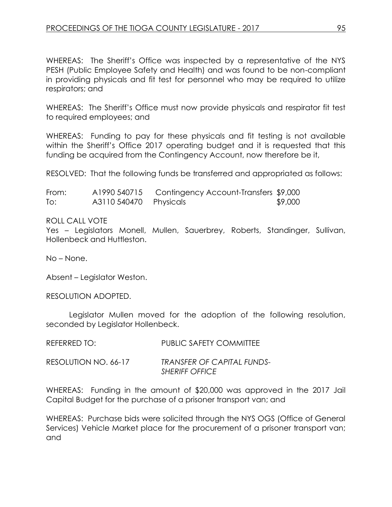WHEREAS: The Sheriff's Office was inspected by a representative of the NYS PESH (Public Employee Safety and Health) and was found to be non-compliant in providing physicals and fit test for personnel who may be required to utilize respirators; and

WHEREAS: The Sheriff's Office must now provide physicals and respirator fit test to required employees; and

WHEREAS: Funding to pay for these physicals and fit testing is not available within the Sheriff's Office 2017 operating budget and it is requested that this funding be acquired from the Contingency Account, now therefore be it,

RESOLVED: That the following funds be transferred and appropriated as follows:

| From: | A1990 540715           | Contingency Account-Transfers \$9,000 |         |
|-------|------------------------|---------------------------------------|---------|
| To:   | A3110 540470 Physicals |                                       | \$9,000 |

### ROLL CALL VOTE

Yes – Legislators Monell, Mullen, Sauerbrey, Roberts, Standinger, Sullivan, Hollenbeck and Huttleston.

No – None.

Absent – Legislator Weston.

RESOLUTION ADOPTED.

Legislator Mullen moved for the adoption of the following resolution, seconded by Legislator Hollenbeck.

| REFERRED TO:         | <b>PUBLIC SAFETY COMMITTEE</b>                             |
|----------------------|------------------------------------------------------------|
| RESOLUTION NO. 66-17 | <b>TRANSFER OF CAPITAL FUNDS-</b><br><b>SHERIFF OFFICE</b> |

WHEREAS: Funding in the amount of \$20,000 was approved in the 2017 Jail Capital Budget for the purchase of a prisoner transport van; and

WHEREAS: Purchase bids were solicited through the NYS OGS (Office of General Services) Vehicle Market place for the procurement of a prisoner transport van; and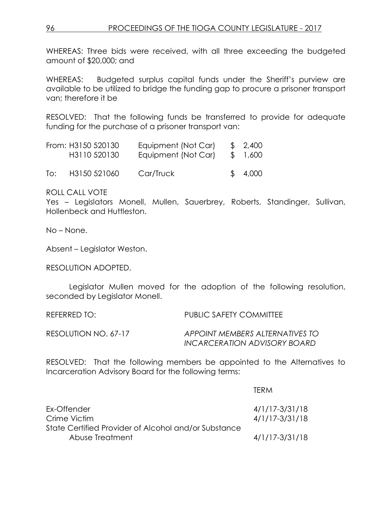WHEREAS: Three bids were received, with all three exceeding the budgeted amount of \$20,000; and

WHEREAS: Budgeted surplus capital funds under the Sheriff's purview are available to be utilized to bridge the funding gap to procure a prisoner transport van; therefore it be

RESOLVED: That the following funds be transferred to provide for adequate funding for the purchase of a prisoner transport van:

|     | From: H3150 520130<br>H3110 520130 | Equipment (Not Car)<br>Equipment (Not Car) | \$2,400<br>\$1,600 |
|-----|------------------------------------|--------------------------------------------|--------------------|
| To: | H3150 521060                       | Car/Truck                                  | \$4,000            |

ROLL CALL VOTE

Yes – Legislators Monell, Mullen, Sauerbrey, Roberts, Standinger, Sullivan, Hollenbeck and Huttleston.

No – None.

Absent – Legislator Weston.

RESOLUTION ADOPTED.

Legislator Mullen moved for the adoption of the following resolution, seconded by Legislator Monell.

| REFERRED TO:         | <b>PUBLIC SAFETY COMMITTEE</b>  |
|----------------------|---------------------------------|
| RESOLUTION NO. 67-17 | APPOINT MEMBERS ALTERNATIVES TO |
|                      | INCARCERATION ADVISORY BOARD    |

RESOLVED: That the following members be appointed to the Alternatives to Incarceration Advisory Board for the following terms:

|                                                      | TFRM               |
|------------------------------------------------------|--------------------|
| Ex-Offender                                          | 4/1/17-3/31/18     |
| Crime Victim                                         | $4/1/17 - 3/31/18$ |
| State Certified Provider of Alcohol and/or Substance |                    |
| Abuse Treatment                                      | $4/1/17 - 3/31/18$ |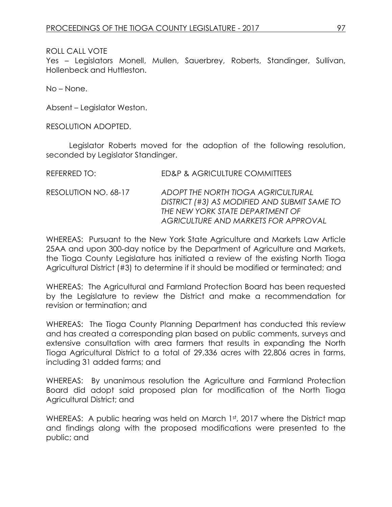#### ROLL CALL VOTE

Yes – Legislators Monell, Mullen, Sauerbrey, Roberts, Standinger, Sullivan, Hollenbeck and Huttleston.

No – None.

Absent – Legislator Weston.

RESOLUTION ADOPTED.

Legislator Roberts moved for the adoption of the following resolution, seconded by Legislator Standinger.

| REFERRED TO:         | ED&P & AGRICULTURE COMMITTEES                                                                                                                                  |
|----------------------|----------------------------------------------------------------------------------------------------------------------------------------------------------------|
| RESOLUTION NO. 68-17 | ADOPT THE NORTH TIOGA AGRICULTURAL<br>DISTRICT (#3) AS MODIFIED AND SUBMIT SAME TO<br>THE NEW YORK STATE DEPARTMENT OF<br>AGRICULTURE AND MARKETS FOR APPROVAL |

WHEREAS: Pursuant to the New York State Agriculture and Markets Law Article 25AA and upon 300-day notice by the Department of Agriculture and Markets, the Tioga County Legislature has initiated a review of the existing North Tioga Agricultural District (#3) to determine if it should be modified or terminated; and

WHEREAS: The Agricultural and Farmland Protection Board has been requested by the Legislature to review the District and make a recommendation for revision or termination; and

WHEREAS: The Tioga County Planning Department has conducted this review and has created a corresponding plan based on public comments, surveys and extensive consultation with area farmers that results in expanding the North Tioga Agricultural District to a total of 29,336 acres with 22,806 acres in farms, including 31 added farms; and

WHEREAS: By unanimous resolution the Agriculture and Farmland Protection Board did adopt said proposed plan for modification of the North Tioga Agricultural District; and

WHEREAS: A public hearing was held on March 1st, 2017 where the District map and findings along with the proposed modifications were presented to the public; and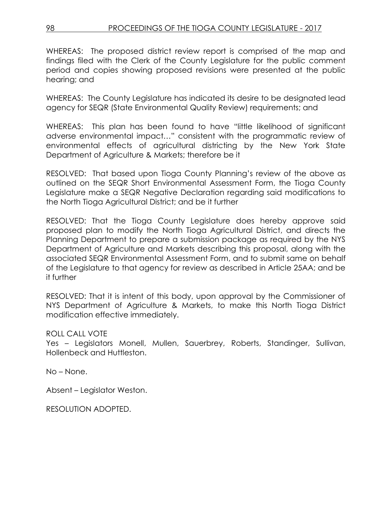WHEREAS: The proposed district review report is comprised of the map and findings filed with the Clerk of the County Legislature for the public comment period and copies showing proposed revisions were presented at the public hearing; and

WHEREAS: The County Legislature has indicated its desire to be designated lead agency for SEQR (State Environmental Quality Review) requirements; and

WHEREAS: This plan has been found to have "little likelihood of significant adverse environmental impact…" consistent with the programmatic review of environmental effects of agricultural districting by the New York State Department of Agriculture & Markets; therefore be it

RESOLVED: That based upon Tioga County Planning's review of the above as outlined on the SEQR Short Environmental Assessment Form, the Tioga County Legislature make a SEQR Negative Declaration regarding said modifications to the North Tioga Agricultural District; and be it further

RESOLVED: That the Tioga County Legislature does hereby approve said proposed plan to modify the North Tioga Agricultural District, and directs the Planning Department to prepare a submission package as required by the NYS Department of Agriculture and Markets describing this proposal, along with the associated SEQR Environmental Assessment Form, and to submit same on behalf of the Legislature to that agency for review as described in Article 25AA; and be it further

RESOLVED: That it is intent of this body, upon approval by the Commissioner of NYS Department of Agriculture & Markets, to make this North Tioga District modification effective immediately.

# ROLL CALL VOTE

Yes – Legislators Monell, Mullen, Sauerbrey, Roberts, Standinger, Sullivan, Hollenbeck and Huttleston.

No – None.

Absent – Legislator Weston.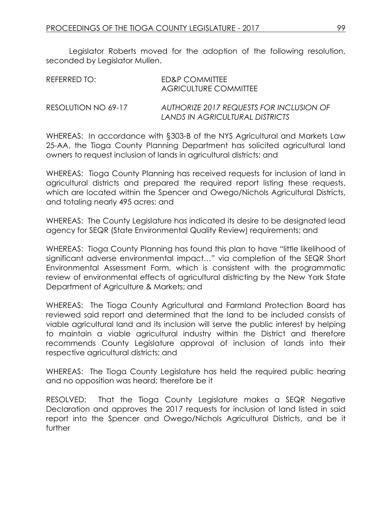Legislator Roberts moved for the adoption of the following resolution, seconded by Legislator Mullen.

| REFERRED TO:        | ED&P COMMITTEE<br>AGRICULTURE COMMITTEE                                     |
|---------------------|-----------------------------------------------------------------------------|
| RESOLUTION NO 69-17 | AUTHORIZE 2017 REQUESTS FOR INCLUSION OF<br>LANDS IN AGRICULTURAL DISTRICTS |

WHEREAS: In accordance with §303-B of the NYS Agricultural and Markets Law 25-AA, the Tioga County Planning Department has solicited agricultural land owners to request inclusion of lands in agricultural districts; and

WHEREAS: Tioga County Planning has received requests for inclusion of land in agricultural districts and prepared the required report listing these requests, which are located within the Spencer and Owego/Nichols Agricultural Districts, and totaling nearly 495 acres; and

WHEREAS: The County Legislature has indicated its desire to be designated lead agency for SEQR (State Environmental Quality Review) requirements; and

WHEREAS: Tioga County Planning has found this plan to have "little likelihood of significant adverse environmental impact…" via completion of the SEQR Short Environmental Assessment Form, which is consistent with the programmatic review of environmental effects of agricultural districting by the New York State Department of Agriculture & Markets; and

WHEREAS: The Tioga County Agricultural and Farmland Protection Board has reviewed said report and determined that the land to be included consists of viable agricultural land and its inclusion will serve the public interest by helping to maintain a viable agricultural industry within the District and therefore recommends County Legislature approval of inclusion of lands into their respective agricultural districts; and

WHEREAS: The Tioga County Legislature has held the required public hearing and no opposition was heard; therefore be it

RESOLVED: That the Tioga County Legislature makes a SEQR Negative Declaration and approves the 2017 requests for inclusion of land listed in said report into the Spencer and Owego/Nichols Agricultural Districts, and be it further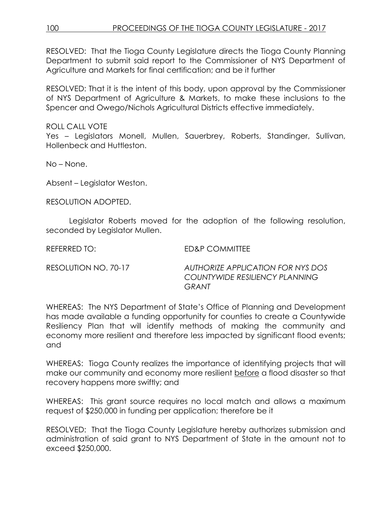RESOLVED: That the Tioga County Legislature directs the Tioga County Planning Department to submit said report to the Commissioner of NYS Department of Agriculture and Markets for final certification; and be it further

RESOLVED: That it is the intent of this body, upon approval by the Commissioner of NYS Department of Agriculture & Markets, to make these inclusions to the Spencer and Owego/Nichols Agricultural Districts effective immediately.

ROLL CALL VOTE Yes – Legislators Monell, Mullen, Sauerbrey, Roberts, Standinger, Sullivan, Hollenbeck and Huttleston.

No – None.

Absent – Legislator Weston.

RESOLUTION ADOPTED.

Legislator Roberts moved for the adoption of the following resolution, seconded by Legislator Mullen.

REFERRED TO: ED&P COMMITTEE

RESOLUTION NO. 70-17 *AUTHORIZE APPLICATION FOR NYS DOS COUNTYWIDE RESILIENCY PLANNING GRANT*

WHEREAS: The NYS Department of State's Office of Planning and Development has made available a funding opportunity for counties to create a Countywide Resiliency Plan that will identify methods of making the community and economy more resilient and therefore less impacted by significant flood events; and

WHEREAS: Tioga County realizes the importance of identifying projects that will make our community and economy more resilient before a flood disaster so that recovery happens more swiftly; and

WHEREAS: This grant source requires no local match and allows a maximum request of \$250,000 in funding per application; therefore be it

RESOLVED: That the Tioga County Legislature hereby authorizes submission and administration of said grant to NYS Department of State in the amount not to exceed \$250,000.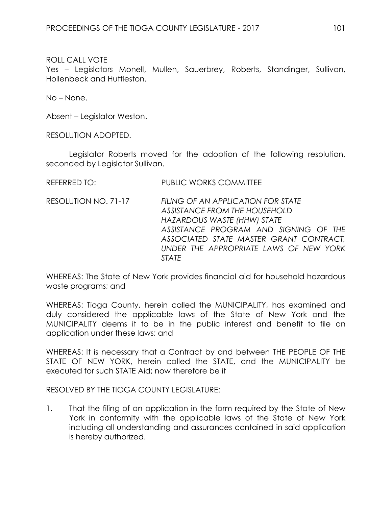ROLL CALL VOTE

Yes – Legislators Monell, Mullen, Sauerbrey, Roberts, Standinger, Sullivan, Hollenbeck and Huttleston.

No – None.

Absent – Legislator Weston.

RESOLUTION ADOPTED.

Legislator Roberts moved for the adoption of the following resolution, seconded by Legislator Sullivan.

REFERRED TO: PUBLIC WORKS COMMITTEE

RESOLUTION NO. 71-17 *FILING OF AN APPLICATION FOR STATE ASSISTANCE FROM THE HOUSEHOLD HAZARDOUS WASTE (HHW) STATE ASSISTANCE PROGRAM AND SIGNING OF THE ASSOCIATED STATE MASTER GRANT CONTRACT, UNDER THE APPROPRIATE LAWS OF NEW YORK STATE*

WHEREAS: The State of New York provides financial aid for household hazardous waste programs; and

WHEREAS: Tioga County, herein called the MUNICIPALITY, has examined and duly considered the applicable laws of the State of New York and the MUNICIPALITY deems it to be in the public interest and benefit to file an application under these laws; and

WHEREAS: It is necessary that a Contract by and between THE PEOPLE OF THE STATE OF NEW YORK, herein called the STATE, and the MUNICIPALITY be executed for such STATE Aid; now therefore be it

RESOLVED BY THE TIOGA COUNTY LEGISLATURE:

1. That the filing of an application in the form required by the State of New York in conformity with the applicable laws of the State of New York including all understanding and assurances contained in said application is hereby authorized.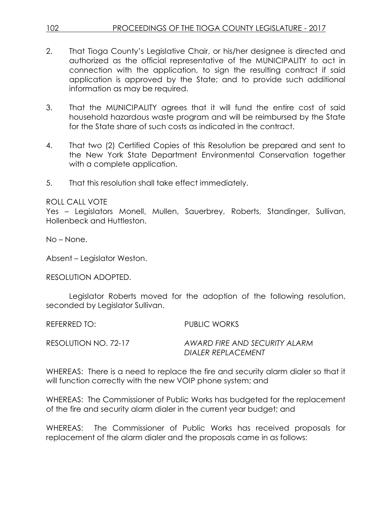# 102 PROCEEDINGS OF THE TIOGA COUNTY LEGISLATURE - 2017

- 2. That Tioga County's Legislative Chair, or his/her designee is directed and authorized as the official representative of the MUNICIPALITY to act in connection with the application, to sign the resulting contract if said application is approved by the State; and to provide such additional information as may be required.
- 3. That the MUNICIPALITY agrees that it will fund the entire cost of said household hazardous waste program and will be reimbursed by the State for the State share of such costs as indicated in the contract.
- 4. That two (2) Certified Copies of this Resolution be prepared and sent to the New York State Department Environmental Conservation together with a complete application.
- 5. That this resolution shall take effect immediately.

### ROLL CALL VOTE

Yes – Legislators Monell, Mullen, Sauerbrey, Roberts, Standinger, Sullivan, Hollenbeck and Huttleston.

No – None.

Absent – Legislator Weston.

RESOLUTION ADOPTED.

Legislator Roberts moved for the adoption of the following resolution, seconded by Legislator Sullivan.

REFERRED TO: PUBLIC WORKS

RESOLUTION NO. 72-17 *AWARD FIRE AND SECURITY ALARM DIALER REPLACEMENT*

WHEREAS: There is a need to replace the fire and security alarm dialer so that it will function correctly with the new VOIP phone system; and

WHEREAS: The Commissioner of Public Works has budgeted for the replacement of the fire and security alarm dialer in the current year budget; and

WHEREAS: The Commissioner of Public Works has received proposals for replacement of the alarm dialer and the proposals came in as follows: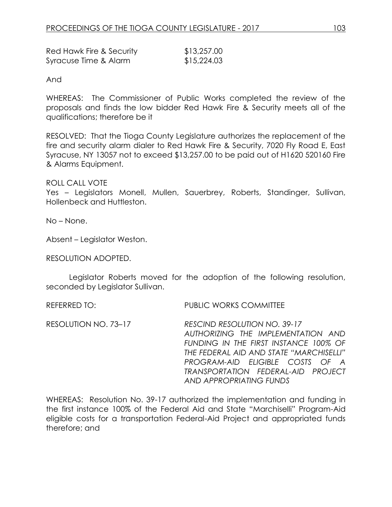| Red Hawk Fire & Security | \$13,257.00 |
|--------------------------|-------------|
| Syracuse Time & Alarm    | \$15,224.03 |

And

WHEREAS: The Commissioner of Public Works completed the review of the proposals and finds the low bidder Red Hawk Fire & Security meets all of the qualifications; therefore be it

RESOLVED: That the Tioga County Legislature authorizes the replacement of the fire and security alarm dialer to Red Hawk Fire & Security, 7020 Fly Road E, East Syracuse, NY 13057 not to exceed \$13,257.00 to be paid out of H1620 520160 Fire & Alarms Equipment.

ROLL CALL VOTE

Yes – Legislators Monell, Mullen, Sauerbrey, Roberts, Standinger, Sullivan, Hollenbeck and Huttleston.

No – None.

Absent – Legislator Weston.

RESOLUTION ADOPTED.

Legislator Roberts moved for the adoption of the following resolution, seconded by Legislator Sullivan.

REFERRED TO: PUBLIC WORKS COMMITTEE

RESOLUTION NO. 73–17 *RESCIND RESOLUTION NO. 39-17 AUTHORIZING THE IMPLEMENTATION AND FUNDING IN THE FIRST INSTANCE 100% OF THE FEDERAL AID AND STATE "MARCHISELLI" PROGRAM-AID ELIGIBLE COSTS OF A TRANSPORTATION FEDERAL-AID PROJECT AND APPROPRIATING FUNDS*

WHEREAS: Resolution No. 39-17 authorized the implementation and funding in the first instance 100% of the Federal Aid and State "Marchiselli" Program-Aid eligible costs for a transportation Federal-Aid Project and appropriated funds therefore; and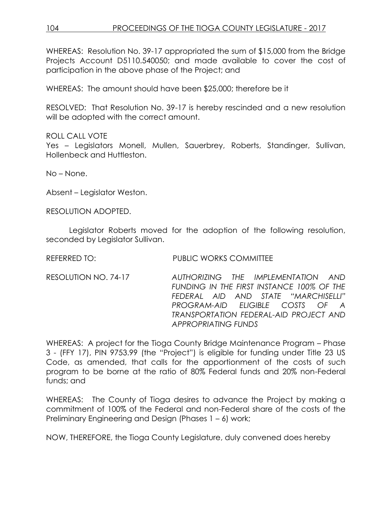WHEREAS: Resolution No. 39-17 appropriated the sum of \$15,000 from the Bridge Projects Account D5110.540050; and made available to cover the cost of participation in the above phase of the Project; and

WHEREAS: The amount should have been \$25,000; therefore be it

RESOLVED: That Resolution No. 39-17 is hereby rescinded and a new resolution will be adopted with the correct amount.

### ROLL CALL VOTE

Yes – Legislators Monell, Mullen, Sauerbrey, Roberts, Standinger, Sullivan, Hollenbeck and Huttleston.

No – None.

Absent – Legislator Weston.

RESOLUTION ADOPTED.

Legislator Roberts moved for the adoption of the following resolution, seconded by Legislator Sullivan.

REFERRED TO: PUBLIC WORKS COMMITTEE

RESOLUTION NO. 74-17 *AUTHORIZING THE IMPLEMENTATION AND FUNDING IN THE FIRST INSTANCE 100% OF THE FEDERAL AID AND STATE "MARCHISELLI" PROGRAM-AID ELIGIBLE COSTS OF A TRANSPORTATION FEDERAL-AID PROJECT AND APPROPRIATING FUNDS*

WHEREAS: A project for the Tioga County Bridge Maintenance Program – Phase 3 - (FFY 17), PIN 9753.99 (the "Project") is eligible for funding under Title 23 US Code, as amended, that calls for the apportionment of the costs of such program to be borne at the ratio of 80% Federal funds and 20% non-Federal funds; and

WHEREAS: The County of Tioga desires to advance the Project by making a commitment of 100% of the Federal and non-Federal share of the costs of the Preliminary Engineering and Design (Phases 1 – 6) work;

NOW, THEREFORE, the Tioga County Legislature, duly convened does hereby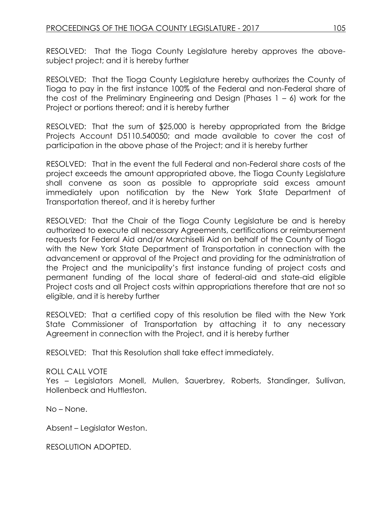RESOLVED: That the Tioga County Legislature hereby approves the abovesubject project; and it is hereby further

RESOLVED: That the Tioga County Legislature hereby authorizes the County of Tioga to pay in the first instance 100% of the Federal and non-Federal share of the cost of the Preliminary Engineering and Design (Phases  $1 - 6$ ) work for the Project or portions thereof; and it is hereby further

RESOLVED: That the sum of \$25,000 is hereby appropriated from the Bridge Projects Account D5110.540050; and made available to cover the cost of participation in the above phase of the Project; and it is hereby further

RESOLVED: That in the event the full Federal and non-Federal share costs of the project exceeds the amount appropriated above, the Tioga County Legislature shall convene as soon as possible to appropriate said excess amount immediately upon notification by the New York State Department of Transportation thereof, and it is hereby further

RESOLVED: That the Chair of the Tioga County Legislature be and is hereby authorized to execute all necessary Agreements, certifications or reimbursement requests for Federal Aid and/or Marchiselli Aid on behalf of the County of Tioga with the New York State Department of Transportation in connection with the advancement or approval of the Project and providing for the administration of the Project and the municipality's first instance funding of project costs and permanent funding of the local share of federal-aid and state-aid eligible Project costs and all Project costs within appropriations therefore that are not so eligible, and it is hereby further

RESOLVED: That a certified copy of this resolution be filed with the New York State Commissioner of Transportation by attaching it to any necessary Agreement in connection with the Project, and it is hereby further

RESOLVED: That this Resolution shall take effect immediately.

# ROLL CALL VOTE

Yes – Legislators Monell, Mullen, Sauerbrey, Roberts, Standinger, Sullivan, Hollenbeck and Huttleston.

No – None.

Absent – Legislator Weston.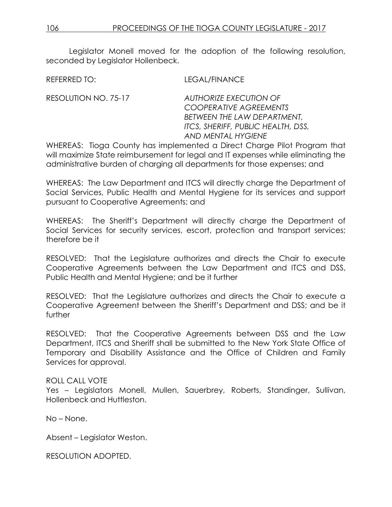Legislator Monell moved for the adoption of the following resolution, seconded by Legislator Hollenbeck.

REFERRED TO: LEGAL/FINANCE

RESOLUTION NO. 75-17 *AUTHORIZE EXECUTION OF COOPERATIVE AGREEMENTS BETWEEN THE LAW DEPARTMENT, ITCS, SHERIFF, PUBLIC HEALTH, DSS, AND MENTAL HYGIENE*

WHEREAS: Tioga County has implemented a Direct Charge Pilot Program that will maximize State reimbursement for legal and IT expenses while eliminating the administrative burden of charging all departments for those expenses; and

WHEREAS: The Law Department and ITCS will directly charge the Department of Social Services, Public Health and Mental Hygiene for its services and support pursuant to Cooperative Agreements; and

WHEREAS: The Sheriff's Department will directly charge the Department of Social Services for security services, escort, protection and transport services; therefore be it

RESOLVED: That the Legislature authorizes and directs the Chair to execute Cooperative Agreements between the Law Department and ITCS and DSS, Public Health and Mental Hygiene; and be it further

RESOLVED: That the Legislature authorizes and directs the Chair to execute a Cooperative Agreement between the Sheriff's Department and DSS; and be it further

RESOLVED: That the Cooperative Agreements between DSS and the Law Department, ITCS and Sheriff shall be submitted to the New York State Office of Temporary and Disability Assistance and the Office of Children and Family Services for approval.

# ROLL CALL VOTE

Yes – Legislators Monell, Mullen, Sauerbrey, Roberts, Standinger, Sullivan, Hollenbeck and Huttleston.

No – None.

Absent – Legislator Weston.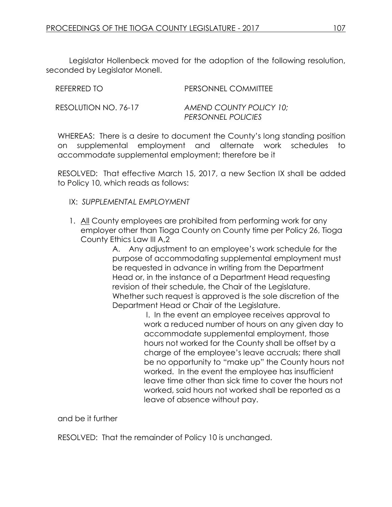Legislator Hollenbeck moved for the adoption of the following resolution, seconded by Legislator Monell.

| REFERRED TO          | PERSONNEL COMMITTEE                           |
|----------------------|-----------------------------------------------|
| RESOLUTION NO. 76-17 | AMEND COUNTY POLICY 10;<br>PERSONNEL POLICIES |

WHEREAS: There is a desire to document the County's long standing position on supplemental employment and alternate work schedules to accommodate supplemental employment; therefore be it

RESOLVED: That effective March 15, 2017, a new Section IX shall be added to Policy 10, which reads as follows:

- IX: *SUPPLEMENTAL EMPLOYMENT*
- 1. All County employees are prohibited from performing work for any employer other than Tioga County on County time per Policy 26, Tioga County Ethics Law III A,2

A. Any adjustment to an employee's work schedule for the purpose of accommodating supplemental employment must be requested in advance in writing from the Department Head or, in the instance of a Department Head requesting revision of their schedule, the Chair of the Legislature. Whether such request is approved is the sole discretion of the Department Head or Chair of the Legislature.

I. In the event an employee receives approval to work a reduced number of hours on any given day to accommodate supplemental employment, those hours not worked for the County shall be offset by a charge of the employee's leave accruals; there shall be no opportunity to "make up" the County hours not worked. In the event the employee has insufficient leave time other than sick time to cover the hours not worked, said hours not worked shall be reported as a leave of absence without pay.

and be it further

RESOLVED: That the remainder of Policy 10 is unchanged.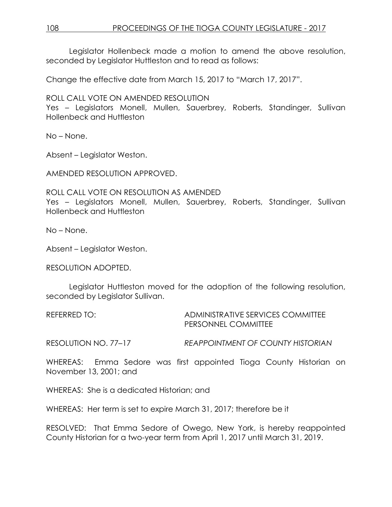Legislator Hollenbeck made a motion to amend the above resolution, seconded by Legislator Huttleston and to read as follows:

Change the effective date from March 15, 2017 to "March 17, 2017".

ROLL CALL VOTE ON AMENDED RESOLUTION

Yes – Legislators Monell, Mullen, Sauerbrey, Roberts, Standinger, Sullivan Hollenbeck and Huttleston

No – None.

Absent – Legislator Weston.

AMENDED RESOLUTION APPROVED.

ROLL CALL VOTE ON RESOLUTION AS AMENDED Yes – Legislators Monell, Mullen, Sauerbrey, Roberts, Standinger, Sullivan Hollenbeck and Huttleston

No – None.

Absent – Legislator Weston.

RESOLUTION ADOPTED.

Legislator Huttleston moved for the adoption of the following resolution, seconded by Legislator Sullivan.

REFERRED TO: ADMINISTRATIVE SERVICES COMMITTEE PERSONNEL COMMITTEE

RESOLUTION NO. 77–17 *REAPPOINTMENT OF COUNTY HISTORIAN*

WHEREAS: Emma Sedore was first appointed Tioga County Historian on November 13, 2001; and

WHEREAS: She is a dedicated Historian; and

WHEREAS: Her term is set to expire March 31, 2017; therefore be it

RESOLVED: That Emma Sedore of Owego, New York, is hereby reappointed County Historian for a two-year term from April 1, 2017 until March 31, 2019.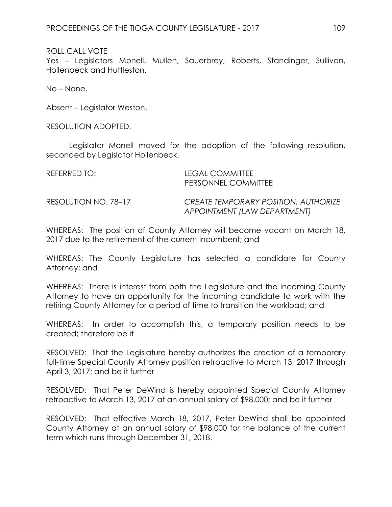### ROLL CALL VOTE

Yes – Legislators Monell, Mullen, Sauerbrey, Roberts, Standinger, Sullivan, Hollenbeck and Huttleston.

No – None.

Absent – Legislator Weston.

RESOLUTION ADOPTED.

Legislator Monell moved for the adoption of the following resolution, seconded by Legislator Hollenbeck.

| REFERRED TO:         | <b>LEGAL COMMITTEE</b><br>PERSONNEL COMMITTEE                        |
|----------------------|----------------------------------------------------------------------|
| RESOLUTION NO. 78–17 | CREATE TEMPORARY POSITION, AUTHORIZE<br>APPOINTMENT (LAW DEPARTMENT) |

WHEREAS: The position of County Attorney will become vacant on March 18, 2017 due to the retirement of the current incumbent; and

WHEREAS: The County Legislature has selected a candidate for County Attorney; and

WHEREAS: There is interest from both the Legislature and the incoming County Attorney to have an opportunity for the incoming candidate to work with the retiring County Attorney for a period of time to transition the workload; and

WHEREAS: In order to accomplish this, a temporary position needs to be created; therefore be it

RESOLVED: That the Legislature hereby authorizes the creation of a temporary full-time Special County Attorney position retroactive to March 13, 2017 through April 3, 2017; and be it further

RESOLVED: That Peter DeWind is hereby appointed Special County Attorney retroactive to March 13, 2017 at an annual salary of \$98,000; and be it further

RESOLVED: That effective March 18, 2017, Peter DeWind shall be appointed County Attorney at an annual salary of \$98,000 for the balance of the current term which runs through December 31, 2018.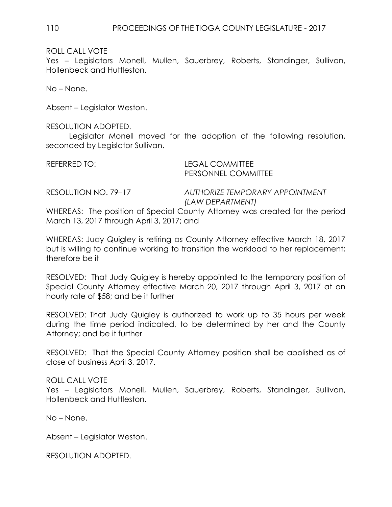# ROLL CALL VOTE

Yes – Legislators Monell, Mullen, Sauerbrey, Roberts, Standinger, Sullivan, Hollenbeck and Huttleston.

No – None.

Absent – Legislator Weston.

### RESOLUTION ADOPTED.

Legislator Monell moved for the adoption of the following resolution, seconded by Legislator Sullivan.

REFERRED TO: LEGAL COMMITTEE PERSONNEL COMMITTEE

RESOLUTION NO. 79–17 *AUTHORIZE TEMPORARY APPOINTMENT (LAW DEPARTMENT)*

WHEREAS: The position of Special County Attorney was created for the period March 13, 2017 through April 3, 2017; and

WHEREAS: Judy Quigley is retiring as County Attorney effective March 18, 2017 but is willing to continue working to transition the workload to her replacement; therefore be it

RESOLVED: That Judy Quigley is hereby appointed to the temporary position of Special County Attorney effective March 20, 2017 through April 3, 2017 at an hourly rate of \$58; and be it further

RESOLVED: That Judy Quigley is authorized to work up to 35 hours per week during the time period indicated, to be determined by her and the County Attorney; and be it further

RESOLVED: That the Special County Attorney position shall be abolished as of close of business April 3, 2017.

ROLL CALL VOTE

Yes – Legislators Monell, Mullen, Sauerbrey, Roberts, Standinger, Sullivan, Hollenbeck and Huttleston.

No – None.

Absent – Legislator Weston.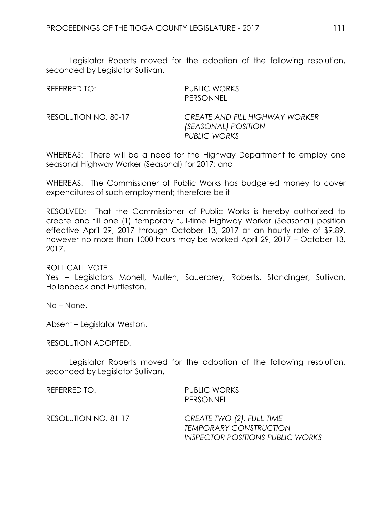Legislator Roberts moved for the adoption of the following resolution, seconded by Legislator Sullivan.

| REFERRED TO:         | PUBLIC WORKS<br>PERSONNEL                                             |
|----------------------|-----------------------------------------------------------------------|
| RESOLUTION NO. 80-17 | CREATE AND FILL HIGHWAY WORKER<br>(SEASONAL) POSITION<br>PUBLIC WORKS |

WHEREAS: There will be a need for the Highway Department to employ one seasonal Highway Worker (Seasonal) for 2017; and

WHEREAS: The Commissioner of Public Works has budgeted money to cover expenditures of such employment; therefore be it

RESOLVED: That the Commissioner of Public Works is hereby authorized to create and fill one (1) temporary full-time Highway Worker (Seasonal) position effective April 29, 2017 through October 13, 2017 at an hourly rate of \$9.89, however no more than 1000 hours may be worked April 29, 2017 – October 13, 2017.

#### ROLL CALL VOTE

Yes – Legislators Monell, Mullen, Sauerbrey, Roberts, Standinger, Sullivan, Hollenbeck and Huttleston.

No – None.

Absent – Legislator Weston.

RESOLUTION ADOPTED.

Legislator Roberts moved for the adoption of the following resolution, seconded by Legislator Sullivan.

REFERRED TO: PUBLIC WORKS PERSONNEL RESOLUTION NO. 81-17 *CREATE TWO (2), FULL-TIME TEMPORARY CONSTRUCTION INSPECTOR POSITIONS PUBLIC WORKS*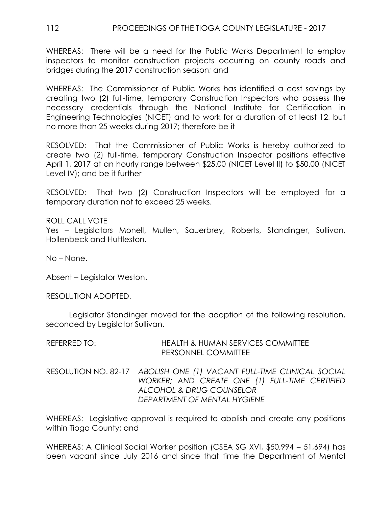# 112 PROCEEDINGS OF THE TIOGA COUNTY LEGISLATURE - 2017

WHEREAS: There will be a need for the Public Works Department to employ inspectors to monitor construction projects occurring on county roads and bridges during the 2017 construction season; and

WHEREAS: The Commissioner of Public Works has identified a cost savings by creating two (2) full-time, temporary Construction Inspectors who possess the necessary credentials through the National Institute for Certification in Engineering Technologies (NICET) and to work for a duration of at least 12, but no more than 25 weeks during 2017; therefore be it

RESOLVED: That the Commissioner of Public Works is hereby authorized to create two (2) full-time, temporary Construction Inspector positions effective April 1, 2017 at an hourly range between \$25.00 (NICET Level II) to \$50.00 (NICET Level IV); and be it further

RESOLVED: That two (2) Construction Inspectors will be employed for a temporary duration not to exceed 25 weeks.

ROLL CALL VOTE

Yes – Legislators Monell, Mullen, Sauerbrey, Roberts, Standinger, Sullivan, Hollenbeck and Huttleston.

No – None.

Absent – Legislator Weston.

RESOLUTION ADOPTED.

Legislator Standinger moved for the adoption of the following resolution, seconded by Legislator Sullivan.

| REFERRED TO: | <b>HEALTH &amp; HUMAN SERVICES COMMITTEE</b><br>PERSONNEL COMMITTEE                                                                                                                 |
|--------------|-------------------------------------------------------------------------------------------------------------------------------------------------------------------------------------|
|              | RESOLUTION NO. 82-17 ABOLISH ONE (1) VACANT FULL-TIME CLINICAL SOCIAL<br>WORKER; AND CREATE ONE (1) FULL-TIME CERTIFIED<br>ALCOHOL & DRUG COUNSELOR<br>DEPARTMENT OF MENTAL HYGIENE |

WHEREAS: Legislative approval is required to abolish and create any positions within Tioga County; and

WHEREAS: A Clinical Social Worker position (CSEA SG XVI, \$50,994 – 51,694) has been vacant since July 2016 and since that time the Department of Mental